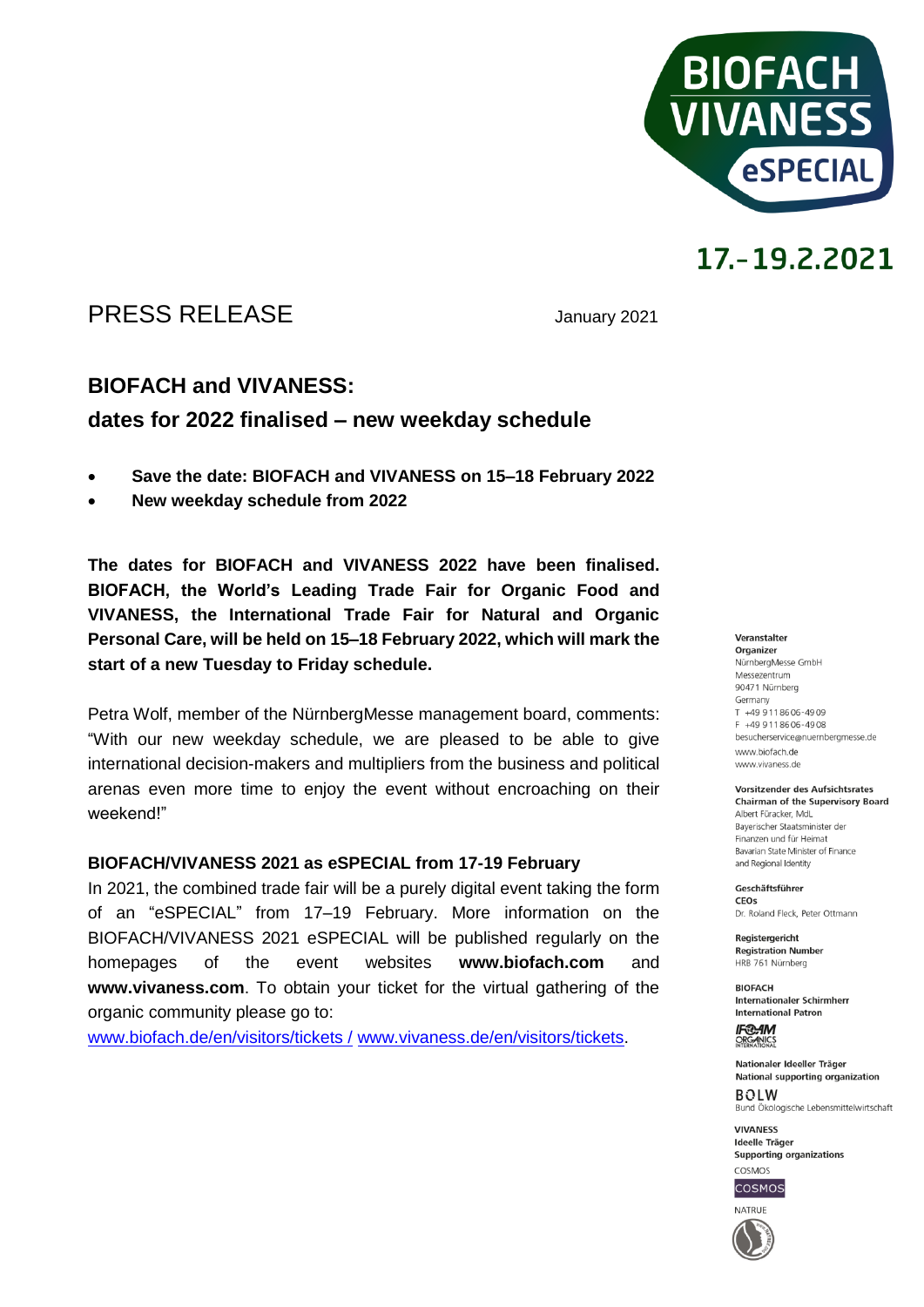

# 17.-19.2.2021

## PRESS RELEASE January 2021

## **BIOFACH and VIVANESS:**

## **dates for 2022 finalised – new weekday schedule**

- **Save the date: BIOFACH and VIVANESS on 15–18 February 2022**
- **New weekday schedule from 2022**

**The dates for BIOFACH and VIVANESS 2022 have been finalised. BIOFACH, the World's Leading Trade Fair for Organic Food and VIVANESS, the International Trade Fair for Natural and Organic Personal Care, will be held on 15–18 February 2022, which will mark the start of a new Tuesday to Friday schedule.**

Petra Wolf, member of the NürnbergMesse management board, comments: "With our new weekday schedule, we are pleased to be able to give international decision-makers and multipliers from the business and political arenas even more time to enjoy the event without encroaching on their weekend!"

#### **BIOFACH/VIVANESS 2021 as eSPECIAL from 17-19 February**

In 2021, the combined trade fair will be a purely digital event taking the form of an "eSPECIAL" from 17–19 February. More information on the BIOFACH/VIVANESS 2021 eSPECIAL will be published regularly on the homepages of the event websites **www.biofach.com** and **www.vivaness.com**. To obtain your ticket for the virtual gathering of the organic community please go to:

[www.biofach.de/en/visitors/tickets /](http://www.biofach.de/en/visitors/tickets%20/) [www.vivaness.de/en/visitors/tickets.](http://www.vivaness.de/en/visitors/tickets)

#### Veranstalter

Organizer NürnbergMesse GmbH Messezentrum 90471 Nürnberg Germany  $T + 499118606 - 4909$ F +49 9 11 86 06 - 49 08 besucherservice@nuernbergmesse.de www.biofach.de www.vivaness.de

Vorsitzender des Aufsichtsrates **Chairman of the Supervisory Board** Albert Füracker, MdL

Bayerischer Staatsminister der Finanzen und für Heimat Bavarian State Minister of Finance and Regional Identity

Geschäftsführer CEOS Dr. Roland Eleck, Peter Ottmann

**Registergericht Registration Number** HRB 761 Nürnberg

**BIOFACH** Internationaler Schirmherr **International Patron** 

**IF®AM** ORGANICS

Nationaler Ideeller Träger National supporting organization  $ROIM$ Bund Ökologische Lebensmittelwirtschaft

**VIVANESS** Ideelle Träger Supporting organizations